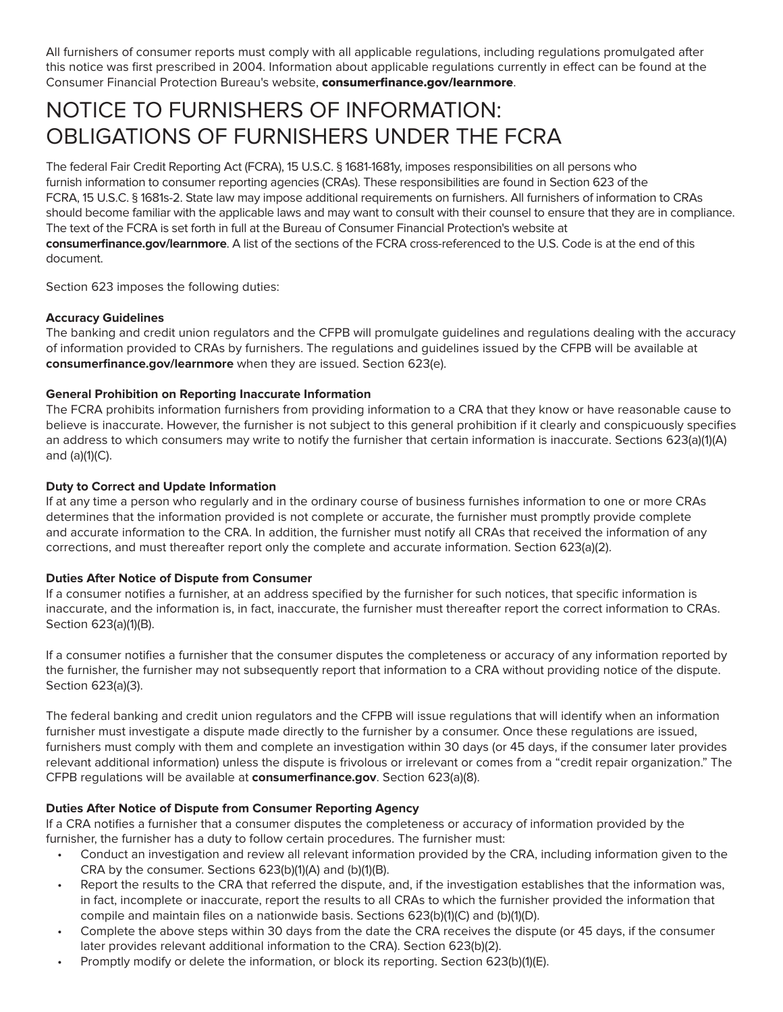All furnishers of consumer reports must comply with all applicable regulations, including regulations promulgated after this notice was first prescribed in 2004. Information about applicable regulations currently in effect can be found at the Consumer Financial Protection Bureau's website, consumerfinance.gov/learnmore.

# NOTICE TO FURNISHERS OF INFORMATION: OBLIGATIONS OF FURNISHERS UNDER THE FCRA

The federal Fair Credit Reporting Act (FCRA), 15 U.S.C. § 1681-1681y, imposes responsibilities on all persons who furnish information to consumer reporting agencies (CRAs). These responsibilities are found in Section 623 of the FCRA, 15 U.S.C. § 1681s-2. State law may impose additional requirements on furnishers. All furnishers of information to CRAs should become familiar with the applicable laws and may want to consult with their counsel to ensure that they are in compliance. The text of the FCRA is set forth in full at the Bureau of Consumer Financial Protection's website at **consumerfinance.gov/learnmore**. A list of the sections of the FCRA cross-referenced to the U.S. Code is at the end of this document.

Section 623 imposes the following duties:

### **Accuracy Guidelines**

The banking and credit union regulators and the CFPB will promulgate guidelines and regulations dealing with the accuracy of information provided to CRAs by furnishers. The regulations and guidelines issued by the CFPB will be available at **consumerfinance.gov/learnmore** when they are issued. Section 623(e).

### **General Prohibition on Reporting Inaccurate Information**

The FCRA prohibits information furnishers from providing information to a CRA that they know or have reasonable cause to believe is inaccurate. However, the furnisher is not subject to this general prohibition if it clearly and conspicuously specifies an address to which consumers may write to notify the furnisher that certain information is inaccurate. Sections 623(a)(1)(A) and  $(a)(1)(C)$ .

#### **Duty to Correct and Update Information**

If at any time a person who regularly and in the ordinary course of business furnishes information to one or more CRAs determines that the information provided is not complete or accurate, the furnisher must promptly provide complete and accurate information to the CRA. In addition, the furnisher must notify all CRAs that received the information of any corrections, and must thereafter report only the complete and accurate information. Section 623(a)(2).

### **Duties After Notice of Dispute from Consumer**

If a consumer notifies a furnisher, at an address specified by the furnisher for such notices, that specific information is inaccurate, and the information is, in fact, inaccurate, the furnisher must thereafter report the correct information to CRAs. Section 623(a)(1)(B).

If a consumer notifies a furnisher that the consumer disputes the completeness or accuracy of any information reported by the furnisher, the furnisher may not subsequently report that information to a CRA without providing notice of the dispute. Section 623(a)(3).

The federal banking and credit union regulators and the CFPB will issue regulations that will identify when an information furnisher must investigate a dispute made directly to the furnisher by a consumer. Once these regulations are issued, furnishers must comply with them and complete an investigation within 30 days (or 45 days, if the consumer later provides relevant additional information) unless the dispute is frivolous or irrelevant or comes from a "credit repair organization." The CFPB regulations will be available at **consumerfinance.gov**. Section 623(a)(8).

### **Duties After Notice of Dispute from Consumer Reporting Agency**

If a CRA notifies a furnisher that a consumer disputes the completeness or accuracy of information provided by the furnisher, the furnisher has a duty to follow certain procedures. The furnisher must:

- Conduct an investigation and review all relevant information provided by the CRA, including information given to the CRA by the consumer. Sections 623(b)(1)(A) and (b)(1)(B).
- Report the results to the CRA that referred the dispute, and, if the investigation establishes that the information was, in fact, incomplete or inaccurate, report the results to all CRAs to which the furnisher provided the information that compile and maintain files on a nationwide basis. Sections 623(b)(1)(C) and (b)(1)(D).
- Complete the above steps within 30 days from the date the CRA receives the dispute (or 45 days, if the consumer later provides relevant additional information to the CRA). Section 623(b)(2).
- Promptly modify or delete the information, or block its reporting. Section 623(b)(1)(E).